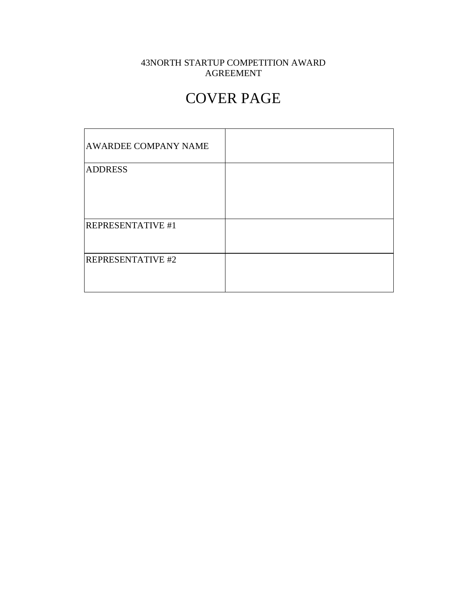### 43NORTH STARTUP COMPETITION AWARD AGREEMENT

# COVER PAGE

| <b>AWARDEE COMPANY NAME</b> |  |
|-----------------------------|--|
| <b>ADDRESS</b>              |  |
|                             |  |
|                             |  |
|                             |  |
| <b>REPRESENTATIVE #1</b>    |  |
|                             |  |
| <b>REPRESENTATIVE #2</b>    |  |
|                             |  |
|                             |  |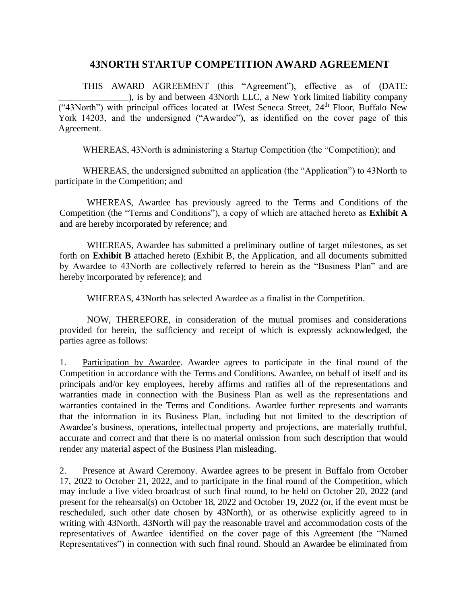### **43NORTH STARTUP COMPETITION AWARD AGREEMENT**

THIS AWARD AGREEMENT (this "Agreement"), effective as of (DATE: \_\_\_\_\_\_\_\_\_\_\_\_\_\_\_\_), is by and between 43North LLC, a New York limited liability company ("43North") with principal offices located at 1West Seneca Street,  $24<sup>th</sup>$  Floor, Buffalo New York 14203, and the undersigned ("Awardee"), as identified on the cover page of this Agreement.

WHEREAS, 43North is administering a Startup Competition (the "Competition); and

WHEREAS, the undersigned submitted an application (the "Application") to 43North to participate in the Competition; and

WHEREAS, Awardee has previously agreed to the Terms and Conditions of the Competition (the "Terms and Conditions"), a copy of which are attached hereto as **Exhibit A**  and are hereby incorporated by reference; and

WHEREAS, Awardee has submitted a preliminary outline of target milestones, as set forth on **Exhibit B** attached hereto (Exhibit B, the Application, and all documents submitted by Awardee to 43North are collectively referred to herein as the "Business Plan" and are hereby incorporated by reference); and

WHEREAS, 43North has selected Awardee as a finalist in the Competition.

NOW, THEREFORE, in consideration of the mutual promises and considerations provided for herein, the sufficiency and receipt of which is expressly acknowledged, the parties agree as follows:

1. Participation by Awardee. Awardee agrees to participate in the final round of the Competition in accordance with the Terms and Conditions. Awardee, on behalf of itself and its principals and/or key employees, hereby affirms and ratifies all of the representations and warranties made in connection with the Business Plan as well as the representations and warranties contained in the Terms and Conditions. Awardee further represents and warrants that the information in its Business Plan, including but not limited to the description of Awardee's business, operations, intellectual property and projections, are materially truthful, accurate and correct and that there is no material omission from such description that would render any material aspect of the Business Plan misleading.

2. Presence at Award Ceremony. Awardee agrees to be present in Buffalo from October 17, 2022 to October 21, 2022, and to participate in the final round of the Competition, which may include a live video broadcast of such final round, to be held on October 20, 2022 (and present for the rehearsal(s) on October 18, 2022 and October 19, 2022 (or, if the event must be rescheduled, such other date chosen by 43North), or as otherwise explicitly agreed to in writing with 43North. 43North will pay the reasonable travel and accommodation costs of the representatives of Awardee identified on the cover page of this Agreement (the "Named Representatives") in connection with such final round. Should an Awardee be eliminated from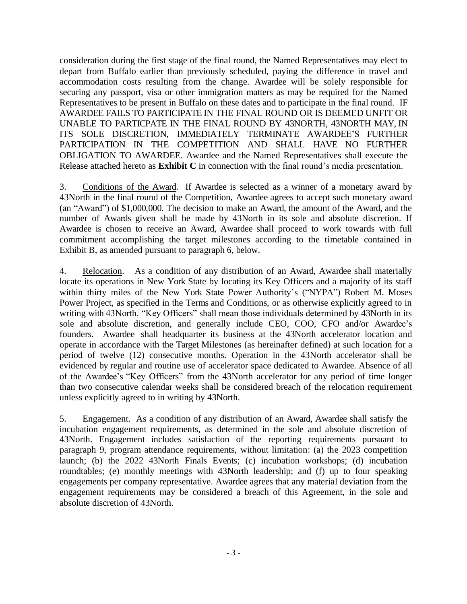consideration during the first stage of the final round, the Named Representatives may elect to depart from Buffalo earlier than previously scheduled, paying the difference in travel and accommodation costs resulting from the change. Awardee will be solely responsible for securing any passport, visa or other immigration matters as may be required for the Named Representatives to be present in Buffalo on these dates and to participate in the final round. IF AWARDEE FAILS TO PARTICIPATE IN THE FINAL ROUND OR IS DEEMED UNFIT OR UNABLE TO PARTICPATE IN THE FINAL ROUND BY 43NORTH, 43NORTH MAY, IN ITS SOLE DISCRETION, IMMEDIATELY TERMINATE AWARDEE'S FURTHER PARTICIPATION IN THE COMPETITION AND SHALL HAVE NO FURTHER OBLIGATION TO AWARDEE. Awardee and the Named Representatives shall execute the Release attached hereto as **Exhibit C** in connection with the final round's media presentation.

3. Conditions of the Award. If Awardee is selected as a winner of a monetary award by 43North in the final round of the Competition, Awardee agrees to accept such monetary award (an "Award") of \$1,000,000. The decision to make an Award, the amount of the Award, and the number of Awards given shall be made by 43North in its sole and absolute discretion. If Awardee is chosen to receive an Award, Awardee shall proceed to work towards with full commitment accomplishing the target milestones according to the timetable contained in Exhibit B, as amended pursuant to paragraph 6, below.

4. Relocation. As a condition of any distribution of an Award, Awardee shall materially locate its operations in New York State by locating its Key Officers and a majority of its staff within thirty miles of the New York State Power Authority's ("NYPA") Robert M. Moses Power Project, as specified in the Terms and Conditions, or as otherwise explicitly agreed to in writing with 43North. "Key Officers" shall mean those individuals determined by 43North in its sole and absolute discretion, and generally include CEO, COO, CFO and/or Awardee's founders. Awardee shall headquarter its business at the 43North accelerator location and operate in accordance with the Target Milestones (as hereinafter defined) at such location for a period of twelve (12) consecutive months. Operation in the 43North accelerator shall be evidenced by regular and routine use of accelerator space dedicated to Awardee. Absence of all of the Awardee's "Key Officers" from the 43North accelerator for any period of time longer than two consecutive calendar weeks shall be considered breach of the relocation requirement unless explicitly agreed to in writing by 43North.

5. Engagement. As a condition of any distribution of an Award, Awardee shall satisfy the incubation engagement requirements, as determined in the sole and absolute discretion of 43North. Engagement includes satisfaction of the reporting requirements pursuant to paragraph 9, program attendance requirements, without limitation: (a) the 2023 competition launch; (b) the 2022 43North Finals Events; (c) incubation workshops; (d) incubation roundtables; (e) monthly meetings with 43North leadership; and (f) up to four speaking engagements per company representative. Awardee agrees that any material deviation from the engagement requirements may be considered a breach of this Agreement, in the sole and absolute discretion of 43North.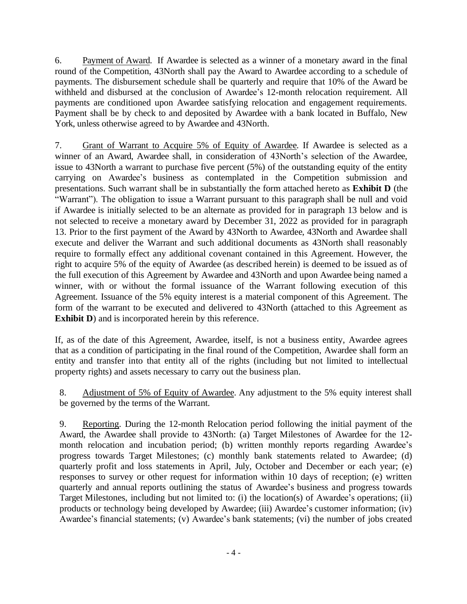6. Payment of Award. If Awardee is selected as a winner of a monetary award in the final round of the Competition, 43North shall pay the Award to Awardee according to a schedule of payments. The disbursement schedule shall be quarterly and require that 10% of the Award be withheld and disbursed at the conclusion of Awardee's 12-month relocation requirement. All payments are conditioned upon Awardee satisfying relocation and engagement requirements. Payment shall be by check to and deposited by Awardee with a bank located in Buffalo, New York, unless otherwise agreed to by Awardee and 43North.

7. Grant of Warrant to Acquire 5% of Equity of Awardee. If Awardee is selected as a winner of an Award, Awardee shall, in consideration of 43North's selection of the Awardee, issue to 43North a warrant to purchase five percent (5%) of the outstanding equity of the entity carrying on Awardee's business as contemplated in the Competition submission and presentations. Such warrant shall be in substantially the form attached hereto as **Exhibit D** (the "Warrant"). The obligation to issue a Warrant pursuant to this paragraph shall be null and void if Awardee is initially selected to be an alternate as provided for in paragraph 13 below and is not selected to receive a monetary award by December 31, 2022 as provided for in paragraph 13. Prior to the first payment of the Award by 43North to Awardee, 43North and Awardee shall execute and deliver the Warrant and such additional documents as 43North shall reasonably require to formally effect any additional covenant contained in this Agreement. However, the right to acquire 5% of the equity of Awardee (as described herein) is deemed to be issued as of the full execution of this Agreement by Awardee and 43North and upon Awardee being named a winner, with or without the formal issuance of the Warrant following execution of this Agreement. Issuance of the 5% equity interest is a material component of this Agreement. The form of the warrant to be executed and delivered to 43North (attached to this Agreement as **Exhibit D**) and is incorporated herein by this reference.

If, as of the date of this Agreement, Awardee, itself, is not a business entity, Awardee agrees that as a condition of participating in the final round of the Competition, Awardee shall form an entity and transfer into that entity all of the rights (including but not limited to intellectual property rights) and assets necessary to carry out the business plan.

8. Adjustment of 5% of Equity of Awardee. Any adjustment to the 5% equity interest shall be governed by the terms of the Warrant.

9. Reporting. During the 12-month Relocation period following the initial payment of the Award, the Awardee shall provide to 43North: (a) Target Milestones of Awardee for the 12 month relocation and incubation period; (b) written monthly reports regarding Awardee's progress towards Target Milestones; (c) monthly bank statements related to Awardee; (d) quarterly profit and loss statements in April, July, October and December or each year; (e) responses to survey or other request for information within 10 days of reception; (e) written quarterly and annual reports outlining the status of Awardee's business and progress towards Target Milestones, including but not limited to: (i) the location(s) of Awardee's operations; (ii) products or technology being developed by Awardee; (iii) Awardee's customer information; (iv) Awardee's financial statements; (v) Awardee's bank statements; (vi) the number of jobs created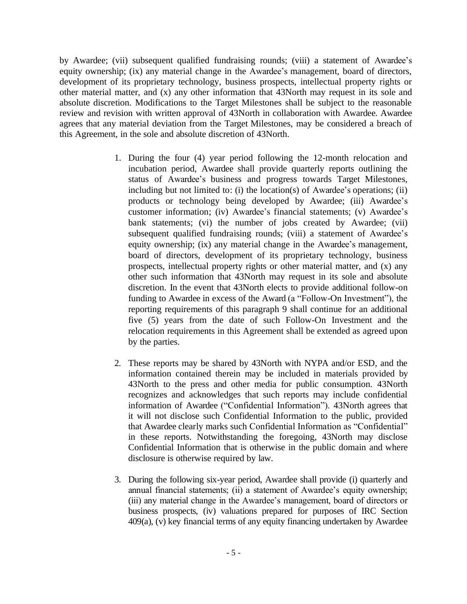by Awardee; (vii) subsequent qualified fundraising rounds; (viii) a statement of Awardee's equity ownership; (ix) any material change in the Awardee's management, board of directors, development of its proprietary technology, business prospects, intellectual property rights or other material matter, and (x) any other information that 43North may request in its sole and absolute discretion. Modifications to the Target Milestones shall be subject to the reasonable review and revision with written approval of 43North in collaboration with Awardee. Awardee agrees that any material deviation from the Target Milestones, may be considered a breach of this Agreement, in the sole and absolute discretion of 43North.

- 1. During the four (4) year period following the 12-month relocation and incubation period, Awardee shall provide quarterly reports outlining the status of Awardee's business and progress towards Target Milestones, including but not limited to: (i) the location(s) of Awardee's operations; (ii) products or technology being developed by Awardee; (iii) Awardee's customer information; (iv) Awardee's financial statements; (v) Awardee's bank statements; (vi) the number of jobs created by Awardee; (vii) subsequent qualified fundraising rounds; (viii) a statement of Awardee's equity ownership; (ix) any material change in the Awardee's management, board of directors, development of its proprietary technology, business prospects, intellectual property rights or other material matter, and (x) any other such information that 43North may request in its sole and absolute discretion. In the event that 43North elects to provide additional follow-on funding to Awardee in excess of the Award (a "Follow-On Investment"), the reporting requirements of this paragraph 9 shall continue for an additional five (5) years from the date of such Follow-On Investment and the relocation requirements in this Agreement shall be extended as agreed upon by the parties.
- 2. These reports may be shared by 43North with NYPA and/or ESD, and the information contained therein may be included in materials provided by 43North to the press and other media for public consumption. 43North recognizes and acknowledges that such reports may include confidential information of Awardee ("Confidential Information"). 43North agrees that it will not disclose such Confidential Information to the public, provided that Awardee clearly marks such Confidential Information as "Confidential" in these reports. Notwithstanding the foregoing, 43North may disclose Confidential Information that is otherwise in the public domain and where disclosure is otherwise required by law.
- 3. During the following six-year period, Awardee shall provide (i) quarterly and annual financial statements; (ii) a statement of Awardee's equity ownership; (iii) any material change in the Awardee's management, board of directors or business prospects, (iv) valuations prepared for purposes of IRC Section 409(a), (v) key financial terms of any equity financing undertaken by Awardee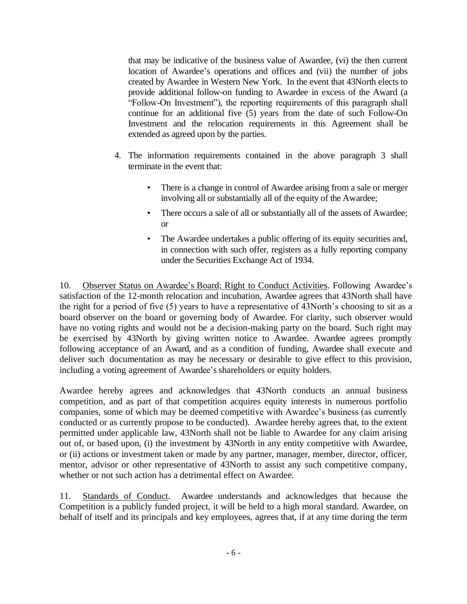that may be indicative of the business value of Awardee, (vi) the then current location of Awardee's operations and offices and (vii) the number of jobs created by Awardee in Western New York. In the event that 43North elects to provide additional follow-on funding to Awardee in excess of the Award (a "Follow-On Investment"), the reporting requirements of this paragraph shall continue for an additional five (5) years from the date of such Follow-On Investment and the relocation requirements in this Agreement shall be extended as agreed upon by the parties.

- 4. The information requirements contained in the above paragraph 3 shall terminate in the event that:
	- There is a change in control of Awardee arising from a sale or merger involving all or substantially all of the equity of the Awardee;
	- There occurs a sale of all or substantially all of the assets of Awardee; or
	- The Awardee undertakes a public offering of its equity securities and, in connection with such offer, registers as a fully reporting company under the Securities Exchange Act of 1934.

10. Observer Status on Awardee's Board; Right to Conduct Activities. Following Awardee's satisfaction of the 12-month relocation and incubation, Awardee agrees that 43North shall have the right for a period of five (5) years to have a representative of 43North's choosing to sit as a board observer on the board or governing body of Awardee. For clarity, such observer would have no voting rights and would not be a decision-making party on the board. Such right may be exercised by 43North by giving written notice to Awardee. Awardee agrees promptly following acceptance of an Award, and as a condition of funding, Awardee shall execute and deliver such documentation as may be necessary or desirable to give effect to this provision, including a voting agreement of Awardee's shareholders or equity holders.

Awardee hereby agrees and acknowledges that 43North conducts an annual business competition, and as part of that competition acquires equity interests in numerous portfolio companies, some of which may be deemed competitive with Awardee's business (as currently conducted or as currently propose to be conducted). Awardee hereby agrees that, to the extent permitted under applicable law, 43North shall not be liable to Awardee for any claim arising out of, or based upon, (i) the investment by 43North in any entity competitive with Awardee, or (ii) actions or investment taken or made by any partner, manager, member, director, officer, mentor, advisor or other representative of 43North to assist any such competitive company, whether or not such action has a detrimental effect on Awardee.

11. Standards of Conduct. Awardee understands and acknowledges that because the Competition is a publicly funded project, it will be held to a high moral standard. Awardee, on behalf of itself and its principals and key employees, agrees that, if at any time during the term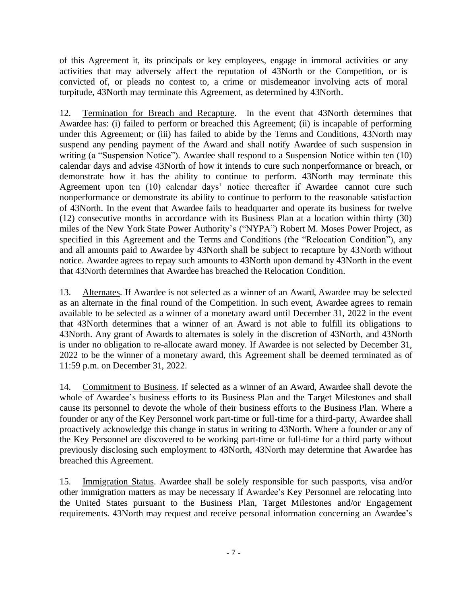of this Agreement it, its principals or key employees, engage in immoral activities or any activities that may adversely affect the reputation of 43North or the Competition, or is convicted of, or pleads no contest to, a crime or misdemeanor involving acts of moral turpitude, 43North may terminate this Agreement, as determined by 43North.

12. Termination for Breach and Recapture. In the event that 43North determines that Awardee has: (i) failed to perform or breached this Agreement; (ii) is incapable of performing under this Agreement; or (iii) has failed to abide by the Terms and Conditions, 43North may suspend any pending payment of the Award and shall notify Awardee of such suspension in writing (a "Suspension Notice"). Awardee shall respond to a Suspension Notice within ten (10) calendar days and advise 43North of how it intends to cure such nonperformance or breach, or demonstrate how it has the ability to continue to perform. 43North may terminate this Agreement upon ten (10) calendar days' notice thereafter if Awardee cannot cure such nonperformance or demonstrate its ability to continue to perform to the reasonable satisfaction of 43North. In the event that Awardee fails to headquarter and operate its business for twelve (12) consecutive months in accordance with its Business Plan at a location within thirty (30) miles of the New York State Power Authority's ("NYPA") Robert M. Moses Power Project, as specified in this Agreement and the Terms and Conditions (the "Relocation Condition"), any and all amounts paid to Awardee by 43North shall be subject to recapture by 43North without notice. Awardee agrees to repay such amounts to 43North upon demand by 43North in the event that 43North determines that Awardee has breached the Relocation Condition.

13. Alternates. If Awardee is not selected as a winner of an Award, Awardee may be selected as an alternate in the final round of the Competition. In such event, Awardee agrees to remain available to be selected as a winner of a monetary award until December 31, 2022 in the event that 43North determines that a winner of an Award is not able to fulfill its obligations to 43North. Any grant of Awards to alternates is solely in the discretion of 43North, and 43North is under no obligation to re-allocate award money. If Awardee is not selected by December 31, 2022 to be the winner of a monetary award, this Agreement shall be deemed terminated as of 11:59 p.m. on December 31, 2022.

14. Commitment to Business. If selected as a winner of an Award, Awardee shall devote the whole of Awardee's business efforts to its Business Plan and the Target Milestones and shall cause its personnel to devote the whole of their business efforts to the Business Plan. Where a founder or any of the Key Personnel work part-time or full-time for a third-party, Awardee shall proactively acknowledge this change in status in writing to 43North. Where a founder or any of the Key Personnel are discovered to be working part-time or full-time for a third party without previously disclosing such employment to 43North, 43North may determine that Awardee has breached this Agreement.

15. Immigration Status. Awardee shall be solely responsible for such passports, visa and/or other immigration matters as may be necessary if Awardee's Key Personnel are relocating into the United States pursuant to the Business Plan, Target Milestones and/or Engagement requirements. 43North may request and receive personal information concerning an Awardee's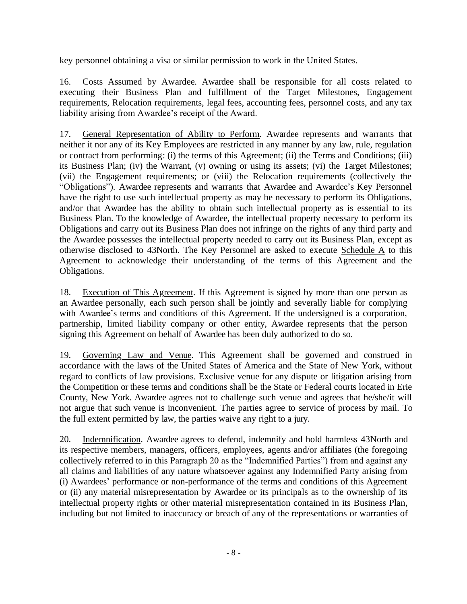key personnel obtaining a visa or similar permission to work in the United States.

16. Costs Assumed by Awardee. Awardee shall be responsible for all costs related to executing their Business Plan and fulfillment of the Target Milestones, Engagement requirements, Relocation requirements, legal fees, accounting fees, personnel costs, and any tax liability arising from Awardee's receipt of the Award.

17. General Representation of Ability to Perform. Awardee represents and warrants that neither it nor any of its Key Employees are restricted in any manner by any law, rule, regulation or contract from performing: (i) the terms of this Agreement; (ii) the Terms and Conditions; (iii) its Business Plan; (iv) the Warrant, (v) owning or using its assets; (vi) the Target Milestones; (vii) the Engagement requirements; or (viii) the Relocation requirements (collectively the "Obligations"). Awardee represents and warrants that Awardee and Awardee's Key Personnel have the right to use such intellectual property as may be necessary to perform its Obligations, and/or that Awardee has the ability to obtain such intellectual property as is essential to its Business Plan. To the knowledge of Awardee, the intellectual property necessary to perform its Obligations and carry out its Business Plan does not infringe on the rights of any third party and the Awardee possesses the intellectual property needed to carry out its Business Plan, except as otherwise disclosed to 43North. The Key Personnel are asked to execute Schedule A to this Agreement to acknowledge their understanding of the terms of this Agreement and the Obligations.

18. Execution of This Agreement. If this Agreement is signed by more than one person as an Awardee personally, each such person shall be jointly and severally liable for complying with Awardee's terms and conditions of this Agreement. If the undersigned is a corporation, partnership, limited liability company or other entity, Awardee represents that the person signing this Agreement on behalf of Awardee has been duly authorized to do so.

19. Governing Law and Venue. This Agreement shall be governed and construed in accordance with the laws of the United States of America and the State of New York, without regard to conflicts of law provisions. Exclusive venue for any dispute or litigation arising from the Competition or these terms and conditions shall be the State or Federal courts located in Erie County, New York. Awardee agrees not to challenge such venue and agrees that he/she/it will not argue that such venue is inconvenient. The parties agree to service of process by mail. To the full extent permitted by law, the parties waive any right to a jury.

20. Indemnification. Awardee agrees to defend, indemnify and hold harmless 43North and its respective members, managers, officers, employees, agents and/or affiliates (the foregoing collectively referred to in this Paragraph 20 as the "Indemnified Parties") from and against any all claims and liabilities of any nature whatsoever against any Indemnified Party arising from (i) Awardees' performance or non-performance of the terms and conditions of this Agreement or (ii) any material misrepresentation by Awardee or its principals as to the ownership of its intellectual property rights or other material misrepresentation contained in its Business Plan, including but not limited to inaccuracy or breach of any of the representations or warranties of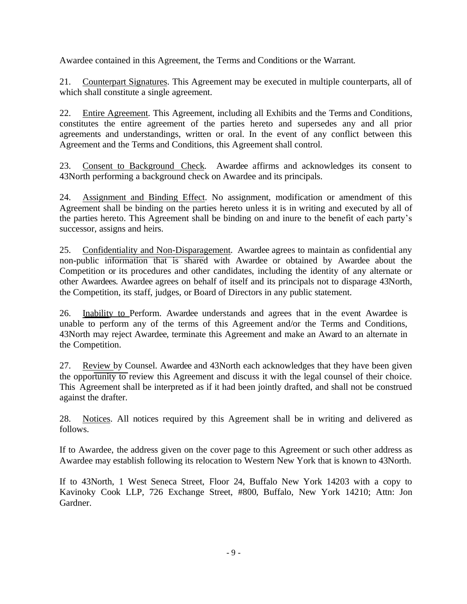Awardee contained in this Agreement, the Terms and Conditions or the Warrant.

21. Counterpart Signatures. This Agreement may be executed in multiple counterparts, all of which shall constitute a single agreement.

22. Entire Agreement. This Agreement, including all Exhibits and the Terms and Conditions, constitutes the entire agreement of the parties hereto and supersedes any and all prior agreements and understandings, written or oral. In the event of any conflict between this Agreement and the Terms and Conditions, this Agreement shall control.

23. Consent to Background Check. Awardee affirms and acknowledges its consent to 43North performing a background check on Awardee and its principals.

24. Assignment and Binding Effect. No assignment, modification or amendment of this Agreement shall be binding on the parties hereto unless it is in writing and executed by all of the parties hereto. This Agreement shall be binding on and inure to the benefit of each party's successor, assigns and heirs.

25. Confidentiality and Non-Disparagement. Awardee agrees to maintain as confidential any non-public information that is shared with Awardee or obtained by Awardee about the Competition or its procedures and other candidates, including the identity of any alternate or other Awardees. Awardee agrees on behalf of itself and its principals not to disparage 43North, the Competition, its staff, judges, or Board of Directors in any public statement.

26. Inability to Perform. Awardee understands and agrees that in the event Awardee is unable to perform any of the terms of this Agreement and/or the Terms and Conditions, 43North may reject Awardee, terminate this Agreement and make an Award to an alternate in the Competition.

27. Review by Counsel. Awardee and 43North each acknowledges that they have been given the opportunity to review this Agreement and discuss it with the legal counsel of their choice. This Agreement shall be interpreted as if it had been jointly drafted, and shall not be construed against the drafter.

28. Notices. All notices required by this Agreement shall be in writing and delivered as follows.

If to Awardee, the address given on the cover page to this Agreement or such other address as Awardee may establish following its relocation to Western New York that is known to 43North.

If to 43North, 1 West Seneca Street, Floor 24, Buffalo New York 14203 with a copy to Kavinoky Cook LLP, 726 Exchange Street, #800, Buffalo, New York 14210; Attn: Jon Gardner.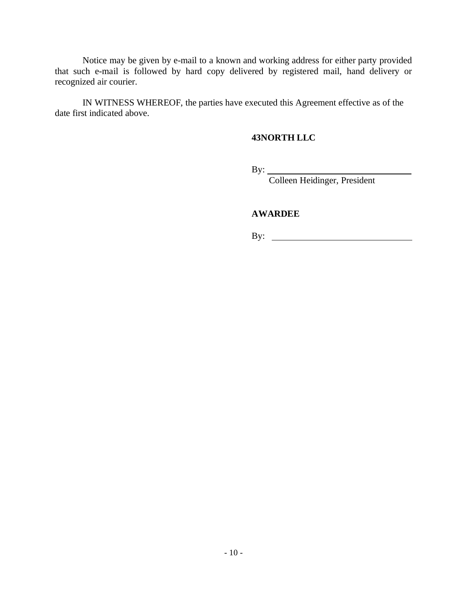Notice may be given by e-mail to a known and working address for either party provided that such e-mail is followed by hard copy delivered by registered mail, hand delivery or recognized air courier.

IN WITNESS WHEREOF, the parties have executed this Agreement effective as of the date first indicated above.

#### **43NORTH LLC**

By:

Colleen Heidinger, President

#### **AWARDEE**

By: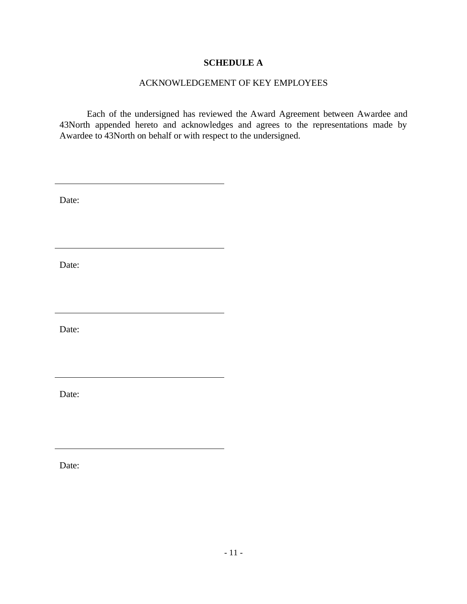#### **SCHEDULE A**

#### ACKNOWLEDGEMENT OF KEY EMPLOYEES

Each of the undersigned has reviewed the Award Agreement between Awardee and 43North appended hereto and acknowledges and agrees to the representations made by Awardee to 43North on behalf or with respect to the undersigned.

Date:

Date:

Date:

Date:

Date: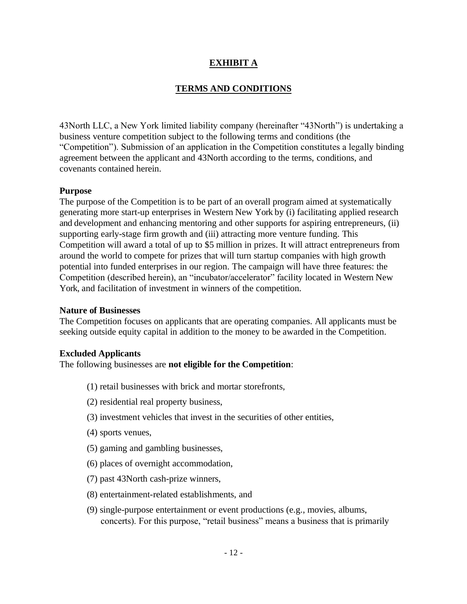### **EXHIBIT A**

#### **TERMS AND CONDITIONS**

43North LLC, a New York limited liability company (hereinafter "43North") is undertaking a business venture competition subject to the following terms and conditions (the "Competition"). Submission of an application in the Competition constitutes a legally binding agreement between the applicant and 43North according to the terms, conditions, and covenants contained herein.

#### **Purpose**

The purpose of the Competition is to be part of an overall program aimed at systematically generating more start-up enterprises in Western New York by (i) facilitating applied research and development and enhancing mentoring and other supports for aspiring entrepreneurs, (ii) supporting early-stage firm growth and (iii) attracting more venture funding. This Competition will award a total of up to \$5 million in prizes. It will attract entrepreneurs from around the world to compete for prizes that will turn startup companies with high growth potential into funded enterprises in our region. The campaign will have three features: the Competition (described herein), an "incubator/accelerator" facility located in Western New York, and facilitation of investment in winners of the competition.

#### **Nature of Businesses**

The Competition focuses on applicants that are operating companies. All applicants must be seeking outside equity capital in addition to the money to be awarded in the Competition.

#### **Excluded Applicants**

The following businesses are **not eligible for the Competition**:

- (1) retail businesses with brick and mortar storefronts,
- (2) residential real property business,
- (3) investment vehicles that invest in the securities of other entities,
- (4) sports venues,
- (5) gaming and gambling businesses,
- (6) places of overnight accommodation,
- (7) past 43North cash-prize winners,
- (8) entertainment-related establishments, and
- (9) single-purpose entertainment or event productions (e.g., movies, albums, concerts). For this purpose, "retail business" means a business that is primarily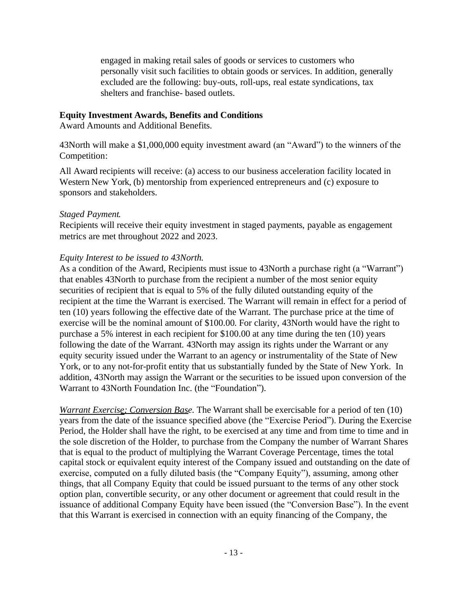engaged in making retail sales of goods or services to customers who personally visit such facilities to obtain goods or services. In addition, generally excluded are the following: buy-outs, roll-ups, real estate syndications, tax shelters and franchise- based outlets.

#### **Equity Investment Awards, Benefits and Conditions**

Award Amounts and Additional Benefits.

43North will make a \$1,000,000 equity investment award (an "Award") to the winners of the Competition:

All Award recipients will receive: (a) access to our business acceleration facility located in Western New York, (b) mentorship from experienced entrepreneurs and (c) exposure to sponsors and stakeholders.

#### *Staged Payment.*

Recipients will receive their equity investment in staged payments, payable as engagement metrics are met throughout 2022 and 2023.

#### *Equity Interest to be issued to 43North.*

As a condition of the Award, Recipients must issue to 43North a purchase right (a "Warrant") that enables 43North to purchase from the recipient a number of the most senior equity securities of recipient that is equal to 5% of the fully diluted outstanding equity of the recipient at the time the Warrant is exercised. The Warrant will remain in effect for a period of ten (10) years following the effective date of the Warrant. The purchase price at the time of exercise will be the nominal amount of \$100.00. For clarity, 43North would have the right to purchase a 5% interest in each recipient for \$100.00 at any time during the ten (10) years following the date of the Warrant. 43North may assign its rights under the Warrant or any equity security issued under the Warrant to an agency or instrumentality of the State of New York, or to any not-for-profit entity that us substantially funded by the State of New York. In addition, 43North may assign the Warrant or the securities to be issued upon conversion of the Warrant to 43North Foundation Inc. (the "Foundation").

*Warrant Exercise; Conversion Base.* The Warrant shall be exercisable for a period of ten (10) years from the date of the issuance specified above (the "Exercise Period"). During the Exercise Period, the Holder shall have the right, to be exercised at any time and from time to time and in the sole discretion of the Holder, to purchase from the Company the number of Warrant Shares that is equal to the product of multiplying the Warrant Coverage Percentage, times the total capital stock or equivalent equity interest of the Company issued and outstanding on the date of exercise, computed on a fully diluted basis (the "Company Equity"), assuming, among other things, that all Company Equity that could be issued pursuant to the terms of any other stock option plan, convertible security, or any other document or agreement that could result in the issuance of additional Company Equity have been issued (the "Conversion Base"). In the event that this Warrant is exercised in connection with an equity financing of the Company, the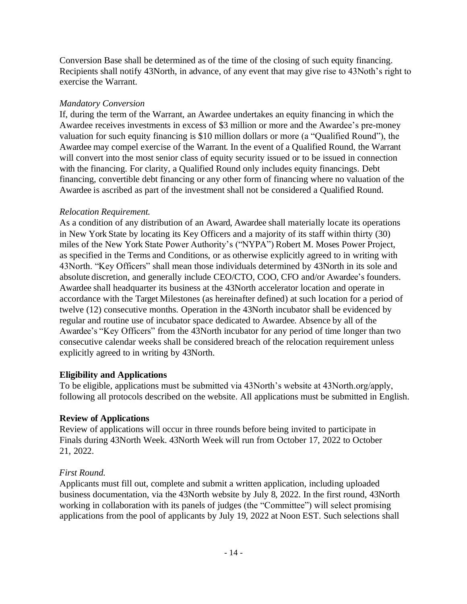Conversion Base shall be determined as of the time of the closing of such equity financing. Recipients shall notify 43North, in advance, of any event that may give rise to 43Noth's right to exercise the Warrant.

#### *Mandatory Conversion*

If, during the term of the Warrant, an Awardee undertakes an equity financing in which the Awardee receives investments in excess of \$3 million or more and the Awardee's pre-money valuation for such equity financing is \$10 million dollars or more (a "Qualified Round"), the Awardee may compel exercise of the Warrant. In the event of a Qualified Round, the Warrant will convert into the most senior class of equity security issued or to be issued in connection with the financing. For clarity, a Qualified Round only includes equity financings. Debt financing, convertible debt financing or any other form of financing where no valuation of the Awardee is ascribed as part of the investment shall not be considered a Qualified Round.

### *Relocation Requirement.*

As a condition of any distribution of an Award, Awardee shall materially locate its operations in New York State by locating its Key Officers and a majority of its staff within thirty (30) miles of the New York State Power Authority's ("NYPA") Robert M. Moses Power Project, as specified in the Terms and Conditions, or as otherwise explicitly agreed to in writing with 43North. "Key Officers" shall mean those individuals determined by 43North in its sole and absolute discretion, and generally include CEO/CTO, COO, CFO and/or Awardee's founders. Awardee shall headquarter its business at the 43North accelerator location and operate in accordance with the Target Milestones (as hereinafter defined) at such location for a period of twelve (12) consecutive months. Operation in the 43North incubator shall be evidenced by regular and routine use of incubator space dedicated to Awardee. Absence by all of the Awardee's "Key Officers" from the 43North incubator for any period of time longer than two consecutive calendar weeks shall be considered breach of the relocation requirement unless explicitly agreed to in writing by 43North.

### **Eligibility and Applications**

To be eligible, applications must be submitted via 43North's website at 43North.org/apply, following all protocols described on the website. All applications must be submitted in English.

### **Review of Applications**

Review of applications will occur in three rounds before being invited to participate in Finals during 43North Week. 43North Week will run from October 17, 2022 to October 21, 2022.

### *First Round.*

Applicants must fill out, complete and submit a written application, including uploaded business documentation, via the 43North website by July 8, 2022. In the first round, 43North working in collaboration with its panels of judges (the "Committee") will select promising applications from the pool of applicants by July 19, 2022 at Noon EST. Such selections shall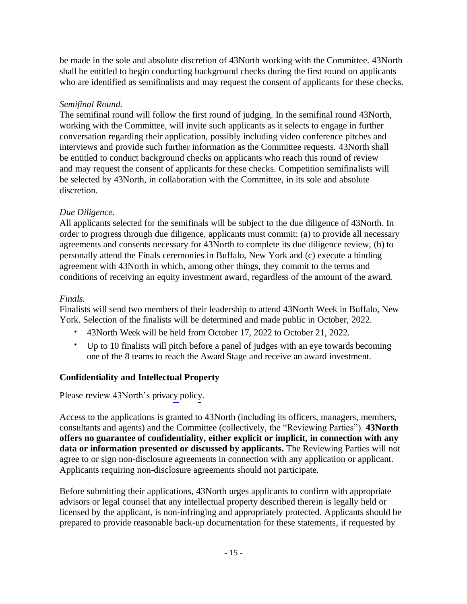be made in the sole and absolute discretion of 43North working with the Committee. 43North shall be entitled to begin conducting background checks during the first round on applicants who are identified as semifinalists and may request the consent of applicants for these checks.

### *Semifinal Round.*

The semifinal round will follow the first round of judging. In the semifinal round 43North, working with the Committee, will invite such applicants as it selects to engage in further conversation regarding their application, possibly including video conference pitches and interviews and provide such further information as the Committee requests. 43North shall be entitled to conduct background checks on applicants who reach this round of review and may request the consent of applicants for these checks. Competition semifinalists will be selected by 43North, in collaboration with the Committee, in its sole and absolute discretion.

### *Due Diligence.*

All applicants selected for the semifinals will be subject to the due diligence of 43North. In order to progress through due diligence, applicants must commit: (a) to provide all necessary agreements and consents necessary for 43North to complete its due diligence review, (b) to personally attend the Finals ceremonies in Buffalo, New York and (c) execute a binding agreement with 43North in which, among other things, they commit to the terms and conditions of receiving an equity investment award, regardless of the amount of the award.

## *Finals.*

Finalists will send two members of their leadership to attend 43North Week in Buffalo, New York. Selection of the finalists will be determined and made public in October, 2022.

- 43North Week will be held from October 17, 2022 to October 21, 2022.
- Up to 10 finalists will pitch before a panel of judges with an eye towards becoming one of the 8 teams to reach the Award Stage and receive an award investment.

# **Confidentiality and Intellectual Property**

### [Please review 43North's privacy policy.](http://www.43north.org/privacy/)

Access to the applications is granted to 43North (including its officers, managers, members, consultants and agents) and the Committee (collectively, the "Reviewing Parties"). **43North offers no guarantee of confidentiality, either explicit or implicit, in connection with any data or information presented or discussed by applicants.** The Reviewing Parties will not agree to or sign non-disclosure agreements in connection with any application or applicant. Applicants requiring non-disclosure agreements should not participate.

Before submitting their applications, 43North urges applicants to confirm with appropriate advisors or legal counsel that any intellectual property described therein is legally held or licensed by the applicant, is non-infringing and appropriately protected. Applicants should be prepared to provide reasonable back-up documentation for these statements, if requested by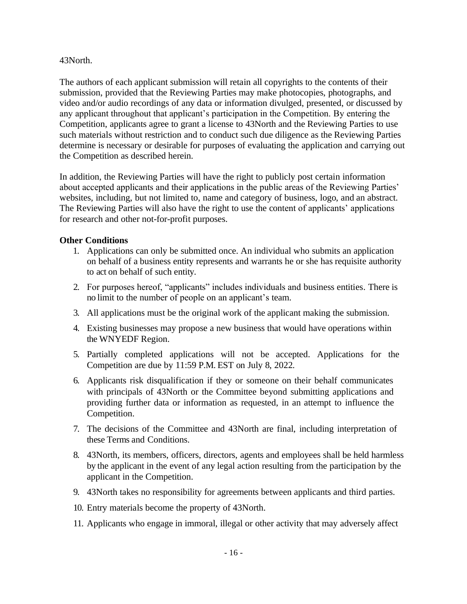#### 43North.

The authors of each applicant submission will retain all copyrights to the contents of their submission, provided that the Reviewing Parties may make photocopies, photographs, and video and/or audio recordings of any data or information divulged, presented, or discussed by any applicant throughout that applicant's participation in the Competition. By entering the Competition, applicants agree to grant a license to 43North and the Reviewing Parties to use such materials without restriction and to conduct such due diligence as the Reviewing Parties determine is necessary or desirable for purposes of evaluating the application and carrying out the Competition as described herein.

In addition, the Reviewing Parties will have the right to publicly post certain information about accepted applicants and their applications in the public areas of the Reviewing Parties' websites, including, but not limited to, name and category of business, logo, and an abstract. The Reviewing Parties will also have the right to use the content of applicants' applications for research and other not-for-profit purposes.

#### **Other Conditions**

- 1. Applications can only be submitted once. An individual who submits an application on behalf of a business entity represents and warrants he or she has requisite authority to act on behalf of such entity.
- 2. For purposes hereof, "applicants" includes individuals and business entities. There is no limit to the number of people on an applicant's team.
- 3. All applications must be the original work of the applicant making the submission.
- 4. Existing businesses may propose a new business that would have operations within the WNYEDF Region.
- 5. Partially completed applications will not be accepted. Applications for the Competition are due by 11:59 P.M. EST on July 8, 2022.
- 6. Applicants risk disqualification if they or someone on their behalf communicates with principals of 43North or the Committee beyond submitting applications and providing further data or information as requested, in an attempt to influence the Competition.
- 7. The decisions of the Committee and 43North are final, including interpretation of these Terms and Conditions.
- 8. 43North, its members, officers, directors, agents and employees shall be held harmless by the applicant in the event of any legal action resulting from the participation by the applicant in the Competition.
- 9. 43North takes no responsibility for agreements between applicants and third parties.
- 10. Entry materials become the property of 43North.
- 11. Applicants who engage in immoral, illegal or other activity that may adversely affect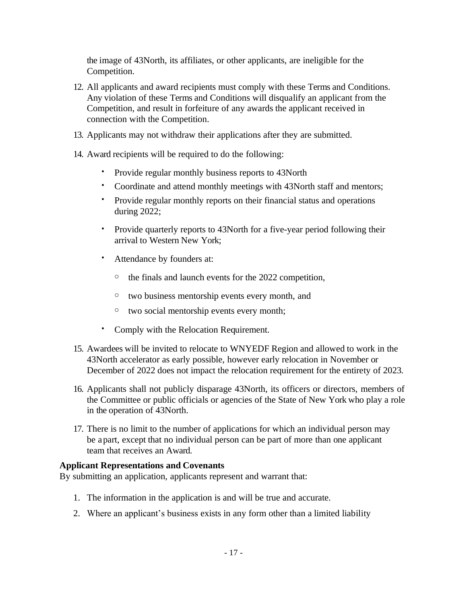the image of 43North, its affiliates, or other applicants, are ineligible for the Competition.

- 12. All applicants and award recipients must comply with these Terms and Conditions. Any violation of these Terms and Conditions will disqualify an applicant from the Competition, and result in forfeiture of any awards the applicant received in connection with the Competition.
- 13. Applicants may not withdraw their applications after they are submitted.
- 14. Award recipients will be required to do the following:
	- Provide regular monthly business reports to 43North
	- Coordinate and attend monthly meetings with 43North staff and mentors;
	- Provide regular monthly reports on their financial status and operations during 2022;
	- Provide quarterly reports to 43North for a five-year period following their arrival to Western New York;
	- Attendance by founders at:
		- o the finals and launch events for the 2022 competition,
		- o two business mentorship events every month, and
		- o two social mentorship events every month;
	- Comply with the Relocation Requirement.
- 15. Awardees will be invited to relocate to WNYEDF Region and allowed to work in the 43North accelerator as early possible, however early relocation in November or December of 2022 does not impact the relocation requirement for the entirety of 2023.
- 16. Applicants shall not publicly disparage 43North, its officers or directors, members of the Committee or public officials or agencies of the State of New York who play a role in the operation of 43North.
- 17. There is no limit to the number of applications for which an individual person may be a part, except that no individual person can be part of more than one applicant team that receives an Award.

### **Applicant Representations and Covenants**

By submitting an application, applicants represent and warrant that:

- 1. The information in the application is and will be true and accurate.
- 2. Where an applicant's business exists in any form other than a limited liability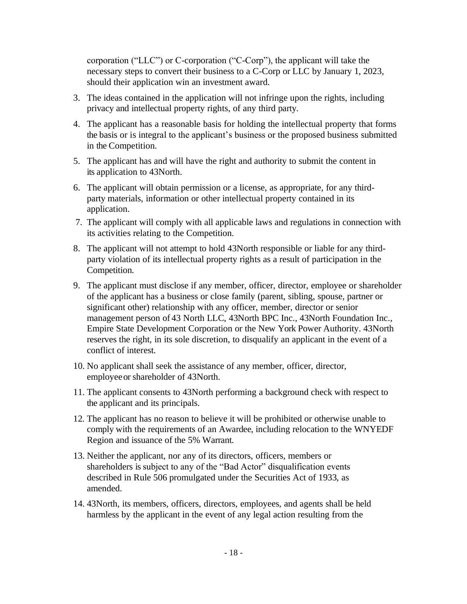corporation ("LLC") or C-corporation ("C-Corp"), the applicant will take the necessary steps to convert their business to a C-Corp or LLC by January 1, 2023, should their application win an investment award.

- 3. The ideas contained in the application will not infringe upon the rights, including privacy and intellectual property rights, of any third party.
- 4. The applicant has a reasonable basis for holding the intellectual property that forms the basis or is integral to the applicant's business or the proposed business submitted in the Competition.
- 5. The applicant has and will have the right and authority to submit the content in its application to 43North.
- 6. The applicant will obtain permission or a license, as appropriate, for any thirdparty materials, information or other intellectual property contained in its application.
- 7. The applicant will comply with all applicable laws and regulations in connection with its activities relating to the Competition.
- 8. The applicant will not attempt to hold 43North responsible or liable for any thirdparty violation of its intellectual property rights as a result of participation in the Competition.
- 9. The applicant must disclose if any member, officer, director, employee or shareholder of the applicant has a business or close family (parent, sibling, spouse, partner or significant other) relationship with any officer, member, director or senior management person of 43 North LLC, 43North BPC Inc., 43North Foundation Inc., Empire State Development Corporation or the New York Power Authority. 43North reserves the right, in its sole discretion, to disqualify an applicant in the event of a conflict of interest.
- 10. No applicant shall seek the assistance of any member, officer, director, employeeor shareholder of 43North.
- 11. The applicant consents to 43North performing a background check with respect to the applicant and its principals.
- 12. The applicant has no reason to believe it will be prohibited or otherwise unable to comply with the requirements of an Awardee, including relocation to the WNYEDF Region and issuance of the 5% Warrant.
- 13. Neither the applicant, nor any of its directors, officers, members or shareholders is subject to any of the "Bad Actor" disqualification events described in Rule 506 promulgated under the Securities Act of 1933, as amended.
- 14. 43North, its members, officers, directors, employees, and agents shall be held harmless by the applicant in the event of any legal action resulting from the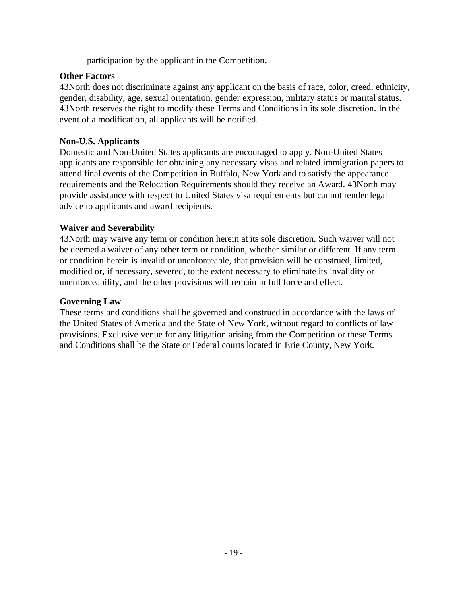participation by the applicant in the Competition.

### **Other Factors**

43North does not discriminate against any applicant on the basis of race, color, creed, ethnicity, gender, disability, age, sexual orientation, gender expression, military status or marital status. 43North reserves the right to modify these Terms and Conditions in its sole discretion. In the event of a modification, all applicants will be notified.

#### **Non-U.S. Applicants**

Domestic and Non-United States applicants are encouraged to apply. Non-United States applicants are responsible for obtaining any necessary visas and related immigration papers to attend final events of the Competition in Buffalo, New York and to satisfy the appearance requirements and the Relocation Requirements should they receive an Award. 43North may provide assistance with respect to United States visa requirements but cannot render legal advice to applicants and award recipients.

### **Waiver and Severability**

43North may waive any term or condition herein at its sole discretion. Such waiver will not be deemed a waiver of any other term or condition, whether similar or different. If any term or condition herein is invalid or unenforceable, that provision will be construed, limited, modified or, if necessary, severed, to the extent necessary to eliminate its invalidity or unenforceability, and the other provisions will remain in full force and effect.

#### **Governing Law**

These terms and conditions shall be governed and construed in accordance with the laws of the United States of America and the State of New York, without regard to conflicts of law provisions. Exclusive venue for any litigation arising from the Competition or these Terms and Conditions shall be the State or Federal courts located in Erie County, New York.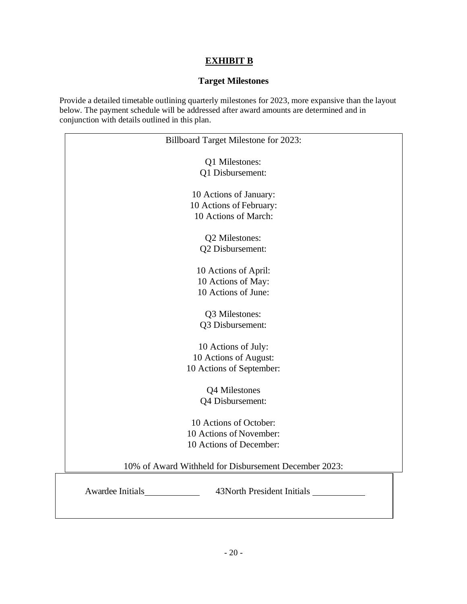### **EXHIBIT B**

#### **Target Milestones**

Provide a detailed timetable outlining quarterly milestones for 2023, more expansive than the layout below. The payment schedule will be addressed after award amounts are determined and in conjunction with details outlined in this plan.

| <b>Billboard Target Milestone for 2023:</b>           |  |  |
|-------------------------------------------------------|--|--|
| Q1 Milestones:                                        |  |  |
| Q1 Disbursement:                                      |  |  |
| 10 Actions of January:                                |  |  |
| 10 Actions of February:                               |  |  |
| 10 Actions of March:                                  |  |  |
| Q2 Milestones:                                        |  |  |
| Q2 Disbursement:                                      |  |  |
| 10 Actions of April:                                  |  |  |
| 10 Actions of May:                                    |  |  |
| 10 Actions of June:                                   |  |  |
| Q3 Milestones:                                        |  |  |
| Q3 Disbursement:                                      |  |  |
| 10 Actions of July:                                   |  |  |
| 10 Actions of August:                                 |  |  |
| 10 Actions of September:                              |  |  |
| Q4 Milestones                                         |  |  |
| Q4 Disbursement:                                      |  |  |
| 10 Actions of October:                                |  |  |
| 10 Actions of November:                               |  |  |
| 10 Actions of December:                               |  |  |
| 10% of Award Withheld for Disbursement December 2023: |  |  |
| Awardee Initials<br>43North President Initials        |  |  |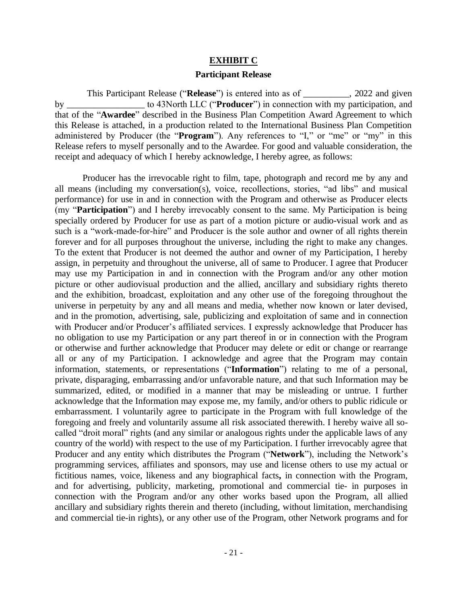#### **EXHIBIT C**

#### **Participant Release**

This Participant Release ("**Release**") is entered into as of \_\_\_\_\_\_\_\_\_\_, 2022 and given by \_\_\_\_\_\_\_\_\_\_\_\_\_\_\_\_\_ to 43North LLC ("**Producer**") in connection with my participation, and that of the "**Awardee**" described in the Business Plan Competition Award Agreement to which this Release is attached, in a production related to the International Business Plan Competition administered by Producer (the "**Program**"). Any references to "I," or "me" or "my" in this Release refers to myself personally and to the Awardee. For good and valuable consideration, the receipt and adequacy of which I hereby acknowledge, I hereby agree, as follows:

Producer has the irrevocable right to film, tape, photograph and record me by any and all means (including my conversation(s), voice, recollections, stories, "ad libs" and musical performance) for use in and in connection with the Program and otherwise as Producer elects (my "**Participation**") and I hereby irrevocably consent to the same. My Participation is being specially ordered by Producer for use as part of a motion picture or audio-visual work and as such is a "work-made-for-hire" and Producer is the sole author and owner of all rights therein forever and for all purposes throughout the universe, including the right to make any changes. To the extent that Producer is not deemed the author and owner of my Participation, I hereby assign, in perpetuity and throughout the universe, all of same to Producer. I agree that Producer may use my Participation in and in connection with the Program and/or any other motion picture or other audiovisual production and the allied, ancillary and subsidiary rights thereto and the exhibition, broadcast, exploitation and any other use of the foregoing throughout the universe in perpetuity by any and all means and media, whether now known or later devised, and in the promotion, advertising, sale, publicizing and exploitation of same and in connection with Producer and/or Producer's affiliated services. I expressly acknowledge that Producer has no obligation to use my Participation or any part thereof in or in connection with the Program or otherwise and further acknowledge that Producer may delete or edit or change or rearrange all or any of my Participation. I acknowledge and agree that the Program may contain information, statements, or representations ("**Information**") relating to me of a personal, private, disparaging, embarrassing and/or unfavorable nature, and that such Information may be summarized, edited, or modified in a manner that may be misleading or untrue. I further acknowledge that the Information may expose me, my family, and/or others to public ridicule or embarrassment. I voluntarily agree to participate in the Program with full knowledge of the foregoing and freely and voluntarily assume all risk associated therewith. I hereby waive all socalled "droit moral" rights (and any similar or analogous rights under the applicable laws of any country of the world) with respect to the use of my Participation. I further irrevocably agree that Producer and any entity which distributes the Program ("**Network**"), including the Network's programming services, affiliates and sponsors, may use and license others to use my actual or fictitious names, voice, likeness and any biographical facts**,** in connection with the Program, and for advertising, publicity, marketing, promotional and commercial tie- in purposes in connection with the Program and/or any other works based upon the Program, all allied ancillary and subsidiary rights therein and thereto (including, without limitation, merchandising and commercial tie-in rights), or any other use of the Program, other Network programs and for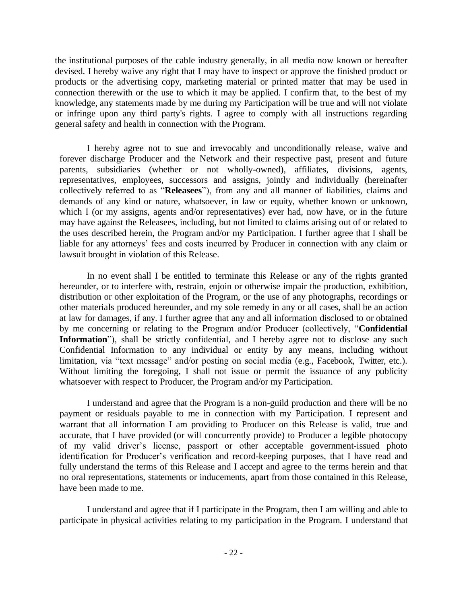the institutional purposes of the cable industry generally, in all media now known or hereafter devised. I hereby waive any right that I may have to inspect or approve the finished product or products or the advertising copy, marketing material or printed matter that may be used in connection therewith or the use to which it may be applied. I confirm that, to the best of my knowledge, any statements made by me during my Participation will be true and will not violate or infringe upon any third party's rights. I agree to comply with all instructions regarding general safety and health in connection with the Program.

I hereby agree not to sue and irrevocably and unconditionally release, waive and forever discharge Producer and the Network and their respective past, present and future parents, subsidiaries (whether or not wholly-owned), affiliates, divisions, agents, representatives, employees, successors and assigns, jointly and individually (hereinafter collectively referred to as "**Releasees**"), from any and all manner of liabilities, claims and demands of any kind or nature, whatsoever, in law or equity, whether known or unknown, which I (or my assigns, agents and/or representatives) ever had, now have, or in the future may have against the Releasees, including, but not limited to claims arising out of or related to the uses described herein, the Program and/or my Participation. I further agree that I shall be liable for any attorneys' fees and costs incurred by Producer in connection with any claim or lawsuit brought in violation of this Release.

In no event shall I be entitled to terminate this Release or any of the rights granted hereunder, or to interfere with, restrain, enjoin or otherwise impair the production, exhibition, distribution or other exploitation of the Program, or the use of any photographs, recordings or other materials produced hereunder, and my sole remedy in any or all cases, shall be an action at law for damages, if any. I further agree that any and all information disclosed to or obtained by me concerning or relating to the Program and/or Producer (collectively, "**Confidential**  Information"), shall be strictly confidential, and I hereby agree not to disclose any such Confidential Information to any individual or entity by any means, including without limitation, via "text message" and/or posting on social media (e.g., Facebook, Twitter, etc.). Without limiting the foregoing, I shall not issue or permit the issuance of any publicity whatsoever with respect to Producer, the Program and/or my Participation.

I understand and agree that the Program is a non-guild production and there will be no payment or residuals payable to me in connection with my Participation. I represent and warrant that all information I am providing to Producer on this Release is valid, true and accurate, that I have provided (or will concurrently provide) to Producer a legible photocopy of my valid driver's license, passport or other acceptable government-issued photo identification for Producer's verification and record-keeping purposes, that I have read and fully understand the terms of this Release and I accept and agree to the terms herein and that no oral representations, statements or inducements, apart from those contained in this Release, have been made to me.

I understand and agree that if I participate in the Program, then I am willing and able to participate in physical activities relating to my participation in the Program. I understand that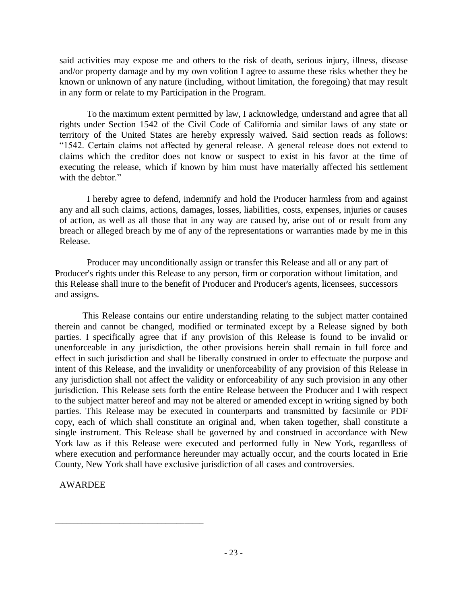said activities may expose me and others to the risk of death, serious injury, illness, disease and/or property damage and by my own volition I agree to assume these risks whether they be known or unknown of any nature (including, without limitation, the foregoing) that may result in any form or relate to my Participation in the Program.

To the maximum extent permitted by law, I acknowledge, understand and agree that all rights under Section 1542 of the Civil Code of California and similar laws of any state or territory of the United States are hereby expressly waived. Said section reads as follows: "1542. Certain claims not affected by general release. A general release does not extend to claims which the creditor does not know or suspect to exist in his favor at the time of executing the release, which if known by him must have materially affected his settlement with the debtor."

I hereby agree to defend, indemnify and hold the Producer harmless from and against any and all such claims, actions, damages, losses, liabilities, costs, expenses, injuries or causes of action, as well as all those that in any way are caused by, arise out of or result from any breach or alleged breach by me of any of the representations or warranties made by me in this Release.

Producer may unconditionally assign or transfer this Release and all or any part of Producer's rights under this Release to any person, firm or corporation without limitation, and this Release shall inure to the benefit of Producer and Producer's agents, licensees, successors and assigns.

This Release contains our entire understanding relating to the subject matter contained therein and cannot be changed, modified or terminated except by a Release signed by both parties. I specifically agree that if any provision of this Release is found to be invalid or unenforceable in any jurisdiction, the other provisions herein shall remain in full force and effect in such jurisdiction and shall be liberally construed in order to effectuate the purpose and intent of this Release, and the invalidity or unenforceability of any provision of this Release in any jurisdiction shall not affect the validity or enforceability of any such provision in any other jurisdiction. This Release sets forth the entire Release between the Producer and I with respect to the subject matter hereof and may not be altered or amended except in writing signed by both parties. This Release may be executed in counterparts and transmitted by facsimile or PDF copy, each of which shall constitute an original and, when taken together, shall constitute a single instrument. This Release shall be governed by and construed in accordance with New York law as if this Release were executed and performed fully in New York, regardless of where execution and performance hereunder may actually occur, and the courts located in Erie County, New York shall have exclusive jurisdiction of all cases and controversies.

AWARDEE

\_\_\_\_\_\_\_\_\_\_\_\_\_\_\_\_\_\_\_\_\_\_\_\_\_\_\_\_\_\_\_\_\_\_\_\_\_\_\_